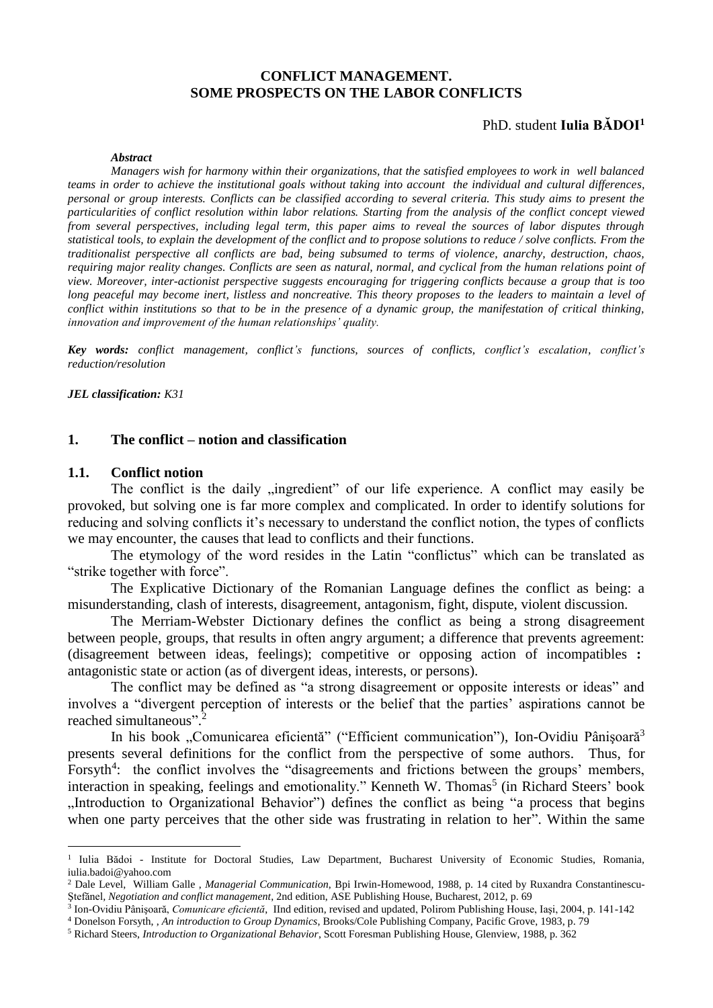## **CONFLICT MANAGEMENT. SOME PROSPECTS ON THE LABOR CONFLICTS**

## PhD. student **Iulia BĂDOI<sup>1</sup>**

#### *Abstract*

*Managers wish for harmony within their organizations, that the satisfied employees to work in well balanced teams in order to achieve the institutional goals without taking into account the individual and cultural differences, personal or group interests. Conflicts can be classified according to several criteria. This study aims to present the particularities of conflict resolution within labor relations. Starting from the analysis of the conflict concept viewed from several perspectives, including legal term, this paper aims to reveal the sources of labor disputes through statistical tools, to explain the development of the conflict and to propose solutions to reduce / solve conflicts. From the traditionalist perspective all conflicts are bad, being subsumed to terms of violence, anarchy, destruction, chaos, requiring major reality changes. Conflicts are seen as natural, normal, and cyclical from the human relations point of view. Moreover, inter-actionist perspective suggests encouraging for triggering conflicts because a group that is too long peaceful may become inert, listless and noncreative. This theory proposes to the leaders to maintain a level of conflict within institutions so that to be in the presence of a dynamic group, the manifestation of critical thinking, innovation and improvement of the human relationships' quality.*

*Key words: conflict management, conflict's functions, sources of conflicts, conflict's escalation, conflict's reduction/resolution* 

*JEL classification: K31*

#### **1. The conflict – notion and classification**

#### **1.1. Conflict notion**

<u>.</u>

The conflict is the daily "ingredient" of our life experience. A conflict may easily be provoked, but solving one is far more complex and complicated. In order to identify solutions for reducing and solving conflicts it's necessary to understand the conflict notion, the types of conflicts we may encounter, the causes that lead to conflicts and their functions.

The etymology of the word resides in the Latin "conflictus" which can be translated as "strike together with force".

The Explicative Dictionary of the Romanian Language defines the conflict as being: a misunderstanding, clash of interests, disagreement, antagonism, fight, dispute, violent discussion.

The Merriam-Webster Dictionary defines the conflict as being a strong disagreement between people, groups, that results in often angry argument; a difference that prevents agreement: (disagreement between ideas, feelings); competitive or opposing action of incompatibles **:** antagonistic state or action (as of divergent ideas, interests, or persons).

The conflict may be defined as "a strong disagreement or opposite interests or ideas" and involves a "divergent perception of interests or the belief that the parties' aspirations cannot be reached simultaneous". 2

In his book "Comunicarea eficientă" ("Efficient communication"), Ion-Ovidiu Pânișoară<sup>3</sup> presents several definitions for the conflict from the perspective of some authors. Thus, for Forsyth<sup>4</sup>: the conflict involves the "disagreements and frictions between the groups' members, interaction in speaking, feelings and emotionality." Kenneth W. Thomas<sup>5</sup> (in Richard Steers' book "Introduction to Organizational Behavior") defines the conflict as being "a process that begins when one party perceives that the other side was frustrating in relation to her". Within the same

<sup>&</sup>lt;sup>1</sup> Iulia Bădoi - Institute for Doctoral Studies, Law Department, Bucharest University of Economic Studies, Romania, iulia.badoi@yahoo.com

<sup>2</sup> Dale Level, William Galle , *Managerial Communication*, Bpi Irwin-Homewood, 1988, p. 14 cited by Ruxandra Constantinescu-Ştefănel*, Negotiation and conflict management*, 2nd edition, ASE Publishing House, Bucharest, 2012, p. 69

<sup>3</sup> Ion-Ovidiu Pânişoară, *Comunicare eficientă*, IInd edition, revised and updated, Polirom Publishing House, Iaşi, 2004, p. 141-142

<sup>4</sup> Donelson Forsyth, , *An introduction to Group Dynamics*, Brooks/Cole Publishing Company, Pacific Grove, 1983, p. 79

<sup>5</sup> Richard Steers, *Introduction to Organizational Behavior*, Scott Foresman Publishing House, Glenview, 1988, p. 362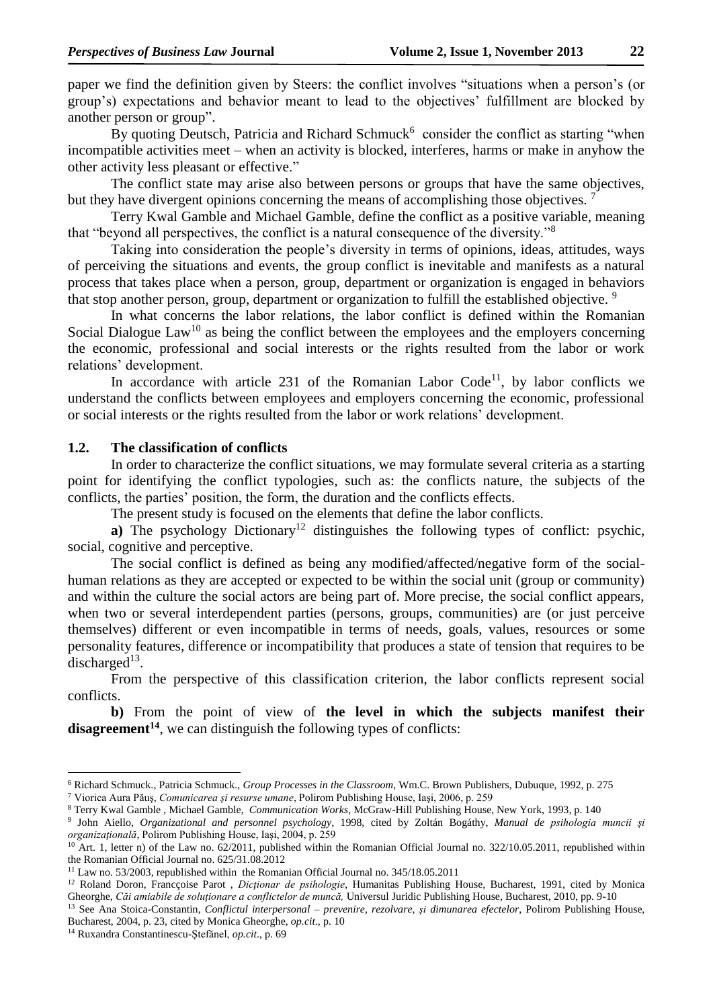paper we find the definition given by Steers: the conflict involves "situations when a person's (or group's) expectations and behavior meant to lead to the objectives' fulfillment are blocked by another person or group".

By quoting Deutsch, Patricia and Richard Schmuck<sup>6</sup> consider the conflict as starting "when incompatible activities meet – when an activity is blocked, interferes, harms or make in anyhow the other activity less pleasant or effective."

The conflict state may arise also between persons or groups that have the same objectives, but they have divergent opinions concerning the means of accomplishing those objectives.

Terry Kwal Gamble and Michael Gamble, define the conflict as a positive variable, meaning that "beyond all perspectives, the conflict is a natural consequence of the diversity."<sup>8</sup>

Taking into consideration the people's diversity in terms of opinions, ideas, attitudes, ways of perceiving the situations and events, the group conflict is inevitable and manifests as a natural process that takes place when a person, group, department or organization is engaged in behaviors that stop another person, group, department or organization to fulfill the established objective.<sup>9</sup>

In what concerns the labor relations, the labor conflict is defined within the Romanian Social Dialogue  $Law<sup>10</sup>$  as being the conflict between the employees and the employers concerning the economic, professional and social interests or the rights resulted from the labor or work relations' development.

In accordance with article 231 of the Romanian Labor Code<sup>11</sup>, by labor conflicts we understand the conflicts between employees and employers concerning the economic, professional or social interests or the rights resulted from the labor or work relations' development.

#### **1.2. The classification of conflicts**

In order to characterize the conflict situations, we may formulate several criteria as a starting point for identifying the conflict typologies, such as: the conflicts nature, the subjects of the conflicts, the parties' position, the form, the duration and the conflicts effects.

The present study is focused on the elements that define the labor conflicts.

**a**) The psychology Dictionary<sup>12</sup> distinguishes the following types of conflict: psychic, social, cognitive and perceptive.

The social conflict is defined as being any modified/affected/negative form of the socialhuman relations as they are accepted or expected to be within the social unit (group or community) and within the culture the social actors are being part of. More precise, the social conflict appears, when two or several interdependent parties (persons, groups, communities) are (or just perceive themselves) different or even incompatible in terms of needs, goals, values, resources or some personality features, difference or incompatibility that produces a state of tension that requires to be discharged<sup>13</sup>.

From the perspective of this classification criterion, the labor conflicts represent social conflicts.

**b)** From the point of view of **the level in which the subjects manifest their disagreement<sup>14</sup>**, we can distinguish the following types of conflicts:

1

<sup>6</sup> Richard Schmuck., Patricia Schmuck., *Group Processes in the Classroom*, Wm.C. Brown Publishers, Dubuque, 1992, p. 275

<sup>7</sup> Viorica Aura Păuş, *Comunicarea şi resurse umane*, Polirom Publishing House, Iaşi, 2006, p. 259

<sup>8</sup> Terry Kwal Gamble , Michael Gamble, *Communication Works*, McGraw-Hill Publishing House, New York, 1993, p. 140

<sup>9</sup> John Aiello, *Organizational and personnel psychology*, 1998, cited by Zoltán Bogáthy, *Manual de psihologia muncii şi organizaţională*, Polirom Publishing House, Iaşi, 2004, p. 259

 $^{10}$  Art. 1, letter n) of the Law no.  $62/2011$ , published within the Romanian Official Journal no. 322/10.05.2011, republished within the Romanian Official Journal no. 625/31.08.2012

<sup>&</sup>lt;sup>11</sup> Law no. 53/2003, republished within the Romanian Official Journal no. 345/18.05.2011

<sup>12</sup> Roland Doron, Francçoise Parot , *Dicţionar de psihologie*, Humanitas Publishing House, Bucharest, 1991, cited by Monica Gheorghe, *Căi amiabile de soluţionare a conflictelor de muncă,* Universul Juridic Publishing House, Bucharest, 2010, pp. 9-10

<sup>13</sup> See Ana Stoica-Constantin, *Conflictul interpersonal – prevenire, rezolvare, şi dimunarea efectelor*, Polirom Publishing House, Bucharest, 2004, p. 23, cited by Monica Gheorghe, *op.cit.*, p. 10

<sup>14</sup> Ruxandra Constantinescu-Ştefănel, *op.cit*., p. 69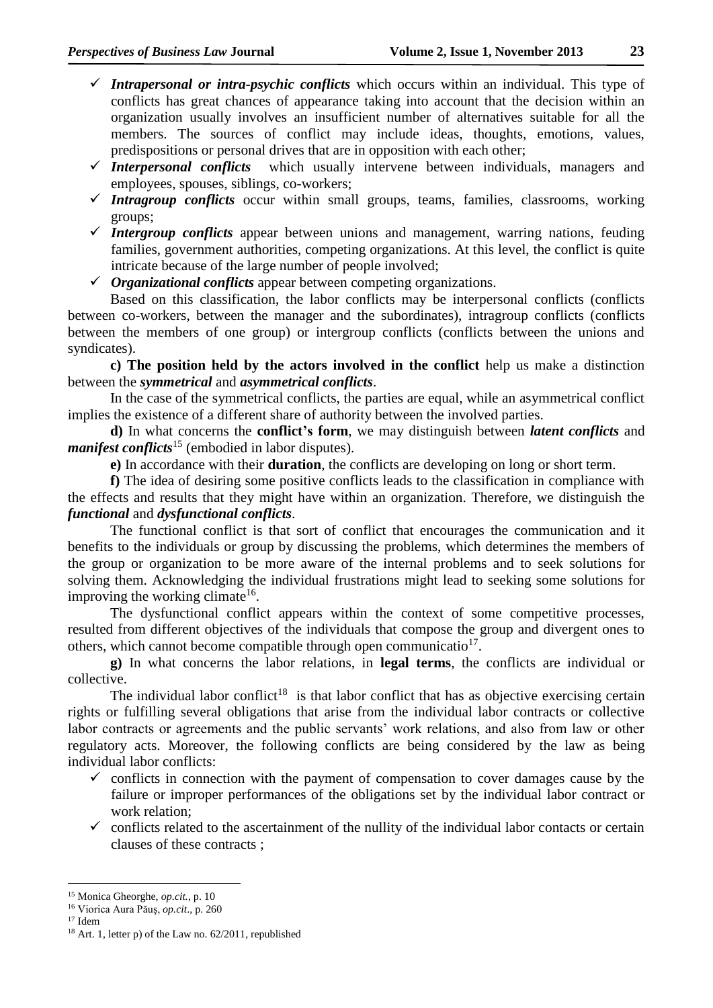- *Intrapersonal or intra-psychic conflicts* which occurs within an individual. This type of conflicts has great chances of appearance taking into account that the decision within an organization usually involves an insufficient number of alternatives suitable for all the members. The sources of conflict may include ideas, thoughts, emotions, values,
- predispositions or personal drives that are in opposition with each other;<br> $\checkmark$  Interpersonal conflicts which usually intervene between individually which usually intervene between individuals, managers and employees, spouses, siblings, co-workers;
- *Intragroup conflicts* occur within small groups, teams, families, classrooms, working groups;
- *Intergroup conflicts* appear between unions and management, warring nations, feuding families, government authorities, competing organizations. At this level, the conflict is quite intricate because of the large number of people involved;
- *Organizational conflicts* appear between competing organizations.

Based on this classification, the labor conflicts may be interpersonal conflicts (conflicts between co-workers, between the manager and the subordinates), intragroup conflicts (conflicts between the members of one group) or intergroup conflicts (conflicts between the unions and syndicates).

**c) The position held by the actors involved in the conflict** help us make a distinction between the *symmetrical* and *asymmetrical conflicts*.

In the case of the symmetrical conflicts, the parties are equal, while an asymmetrical conflict implies the existence of a different share of authority between the involved parties.

**d)** In what concerns the **conflict's form**, we may distinguish between *latent conflicts* and *manifest conflicts*<sup>15</sup> (embodied in labor disputes).

**e)** In accordance with their **duration**, the conflicts are developing on long or short term.

**f)** The idea of desiring some positive conflicts leads to the classification in compliance with the effects and results that they might have within an organization. Therefore, we distinguish the *functional* and *dysfunctional conflicts*.

The functional conflict is that sort of conflict that encourages the communication and it benefits to the individuals or group by discussing the problems, which determines the members of the group or organization to be more aware of the internal problems and to seek solutions for solving them. Acknowledging the individual frustrations might lead to seeking some solutions for improving the working climate<sup>16</sup>.

The dysfunctional conflict appears within the context of some competitive processes, resulted from different objectives of the individuals that compose the group and divergent ones to others, which cannot become compatible through open communicatio<sup>17</sup>.

**g)** In what concerns the labor relations, in **legal terms**, the conflicts are individual or collective.

The individual labor conflict<sup>18</sup> is that labor conflict that has as objective exercising certain rights or fulfilling several obligations that arise from the individual labor contracts or collective labor contracts or agreements and the public servants' work relations, and also from law or other regulatory acts. Moreover, the following conflicts are being considered by the law as being individual labor conflicts:

- $\checkmark$  conflicts in connection with the payment of compensation to cover damages cause by the failure or improper performances of the obligations set by the individual labor contract or work relation;
- $\checkmark$  conflicts related to the ascertainment of the nullity of the individual labor contacts or certain clauses of these contracts ;

-

<sup>15</sup> Monica Gheorghe, *op.cit.*, p. 10

<sup>16</sup> Viorica Aura Păuş, *op.cit*., p. 260

<sup>17</sup> Idem

<sup>&</sup>lt;sup>18</sup> Art. 1, letter p) of the Law no.  $62/2011$ , republished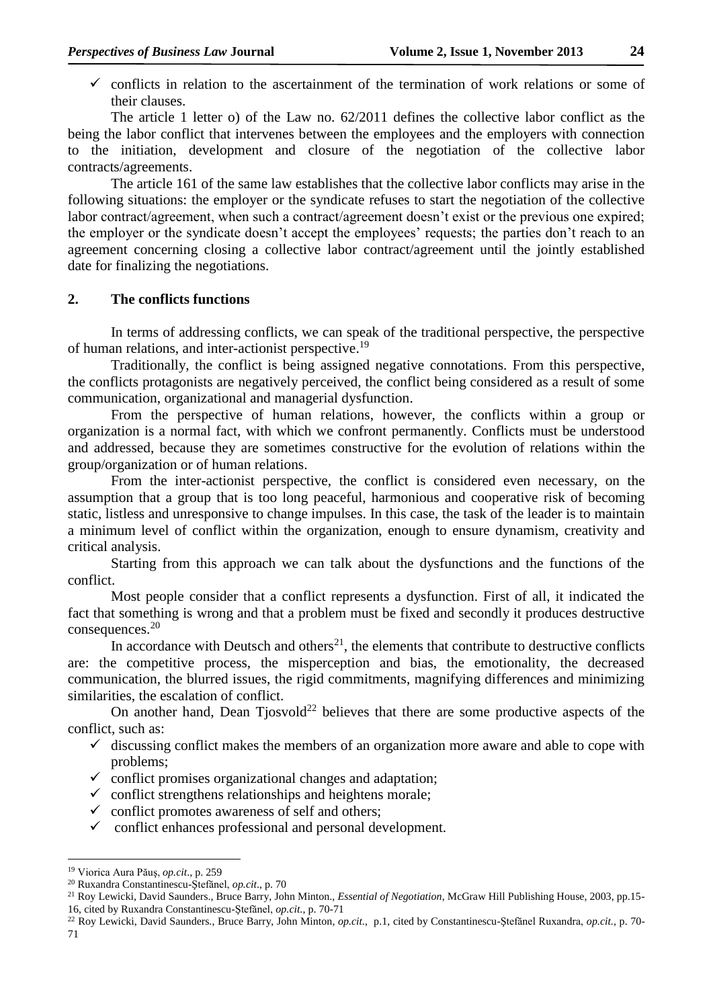- 
- $\checkmark$  conflicts in relation to the ascertainment of the termination of work relations or some of their clauses.

The article 1 letter o) of the Law no. 62/2011 defines the collective labor conflict as the being the labor conflict that intervenes between the employees and the employers with connection to the initiation, development and closure of the negotiation of the collective labor contracts/agreements.

The article 161 of the same law establishes that the collective labor conflicts may arise in the following situations: the employer or the syndicate refuses to start the negotiation of the collective labor contract/agreement, when such a contract/agreement doesn't exist or the previous one expired; the employer or the syndicate doesn't accept the employees' requests; the parties don't reach to an agreement concerning closing a collective labor contract/agreement until the jointly established date for finalizing the negotiations.

### **2. The conflicts functions**

In terms of addressing conflicts, we can speak of the traditional perspective, the perspective of human relations, and inter-actionist perspective.<sup>19</sup>

Traditionally, the conflict is being assigned negative connotations. From this perspective, the conflicts protagonists are negatively perceived, the conflict being considered as a result of some communication, organizational and managerial dysfunction.

From the perspective of human relations, however, the conflicts within a group or organization is a normal fact, with which we confront permanently. Conflicts must be understood and addressed, because they are sometimes constructive for the evolution of relations within the group/organization or of human relations.

From the inter-actionist perspective, the conflict is considered even necessary, on the assumption that a group that is too long peaceful, harmonious and cooperative risk of becoming static, listless and unresponsive to change impulses. In this case, the task of the leader is to maintain a minimum level of conflict within the organization, enough to ensure dynamism, creativity and critical analysis.

Starting from this approach we can talk about the dysfunctions and the functions of the conflict.

Most people consider that a conflict represents a dysfunction. First of all, it indicated the fact that something is wrong and that a problem must be fixed and secondly it produces destructive consequences.<sup>20</sup>

In accordance with Deutsch and others<sup>21</sup>, the elements that contribute to destructive conflicts are: the competitive process, the misperception and bias, the emotionality, the decreased communication, the blurred issues, the rigid commitments, magnifying differences and minimizing similarities, the escalation of conflict.

On another hand, Dean Tjosvold<sup>22</sup> believes that there are some productive aspects of the conflict, such as:

- $\checkmark$  discussing conflict makes the members of an organization more aware and able to cope with problems;
- $\checkmark$  conflict promises organizational changes and adaptation;
- $\checkmark$  conflict strengthens relationships and heightens morale;
- $\checkmark$  conflict promotes awareness of self and others;
- $\checkmark$  conflict enhances professional and personal development.

-

<sup>19</sup> Viorica Aura Păuş, *op.cit*., p. 259

<sup>20</sup> Ruxandra Constantinescu-Ştefănel, *op.cit*., p. 70

<sup>21</sup> Roy Lewicki, David Saunders., Bruce Barry, John Minton., *Essential of Negotiation*, McGraw Hill Publishing House, 2003, pp.15- 16, cited by Ruxandra Constantinescu-Ştefănel, *op.cit.*, p. 70-71

<sup>22</sup> Roy Lewicki, David Saunders., Bruce Barry, John Minton, *op.cit*., p.1, cited by Constantinescu-Ştefănel Ruxandra, *op.cit.,* p. 70- 71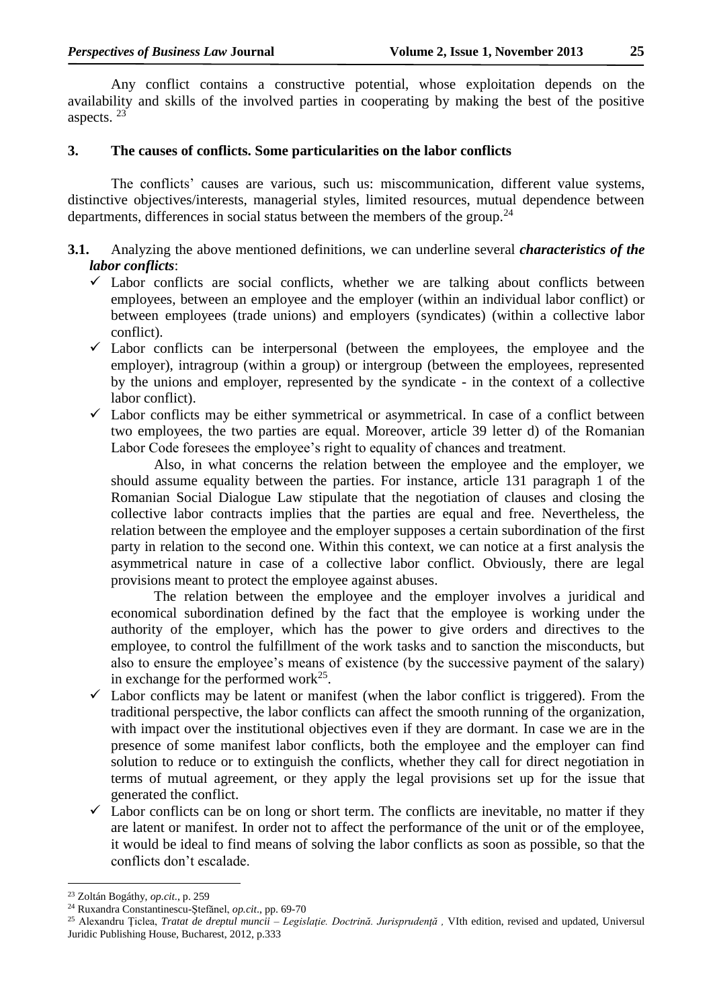Any conflict contains a constructive potential, whose exploitation depends on the availability and skills of the involved parties in cooperating by making the best of the positive aspects. <sup>23</sup>

## **3. The causes of conflicts. Some particularities on the labor conflicts**

The conflicts' causes are various, such us: miscommunication, different value systems, distinctive objectives/interests, managerial styles, limited resources, mutual dependence between departments, differences in social status between the members of the group.<sup>24</sup>

- **3.1.** Analyzing the above mentioned definitions, we can underline several *characteristics of the labor conflicts*:
	- $\checkmark$  Labor conflicts are social conflicts, whether we are talking about conflicts between employees, between an employee and the employer (within an individual labor conflict) or between employees (trade unions) and employers (syndicates) (within a collective labor conflict).
	- $\checkmark$  Labor conflicts can be interpersonal (between the employees, the employee and the employer), intragroup (within a group) or intergroup (between the employees, represented by the unions and employer, represented by the syndicate - in the context of a collective labor conflict).
	- $\checkmark$  Labor conflicts may be either symmetrical or asymmetrical. In case of a conflict between two employees, the two parties are equal. Moreover, article 39 letter d) of the Romanian Labor Code foresees the employee's right to equality of chances and treatment.

Also, in what concerns the relation between the employee and the employer, we should assume equality between the parties. For instance, article 131 paragraph 1 of the Romanian Social Dialogue Law stipulate that the negotiation of clauses and closing the collective labor contracts implies that the parties are equal and free. Nevertheless, the relation between the employee and the employer supposes a certain subordination of the first party in relation to the second one. Within this context, we can notice at a first analysis the asymmetrical nature in case of a collective labor conflict. Obviously, there are legal provisions meant to protect the employee against abuses.

The relation between the employee and the employer involves a juridical and economical subordination defined by the fact that the employee is working under the authority of the employer, which has the power to give orders and directives to the employee, to control the fulfillment of the work tasks and to sanction the misconducts, but also to ensure the employee's means of existence (by the successive payment of the salary) in exchange for the performed work $^{25}$ .

- $\checkmark$  Labor conflicts may be latent or manifest (when the labor conflict is triggered). From the traditional perspective, the labor conflicts can affect the smooth running of the organization, with impact over the institutional objectives even if they are dormant. In case we are in the presence of some manifest labor conflicts, both the employee and the employer can find solution to reduce or to extinguish the conflicts, whether they call for direct negotiation in terms of mutual agreement, or they apply the legal provisions set up for the issue that generated the conflict.
- $\checkmark$  Labor conflicts can be on long or short term. The conflicts are inevitable, no matter if they are latent or manifest. In order not to affect the performance of the unit or of the employee, it would be ideal to find means of solving the labor conflicts as soon as possible, so that the conflicts don't escalade.

-

<sup>23</sup> Zoltán Bogáthy, *op.cit*., p. 259

<sup>24</sup> Ruxandra Constantinescu-Ştefănel, *op.cit*., pp. 69-70

<sup>25</sup> Alexandru Ţiclea, *Tratat de dreptul muncii – Legislaţie. Doctrină. Jurisprudenţă ,* VIth edition, revised and updated, Universul Juridic Publishing House, Bucharest, 2012, p.333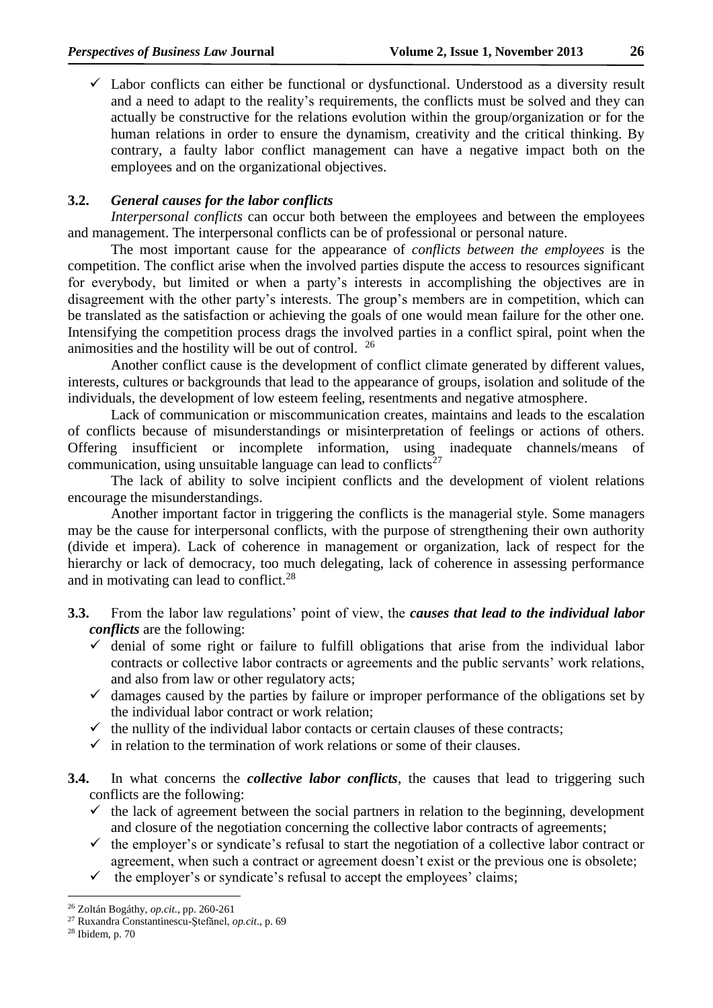$\checkmark$  Labor conflicts can either be functional or dysfunctional. Understood as a diversity result and a need to adapt to the reality's requirements, the conflicts must be solved and they can actually be constructive for the relations evolution within the group/organization or for the human relations in order to ensure the dynamism, creativity and the critical thinking. By contrary, a faulty labor conflict management can have a negative impact both on the employees and on the organizational objectives.

## **3.2.** *General causes for the labor conflicts*

*Interpersonal conflicts* can occur both between the employees and between the employees and management. The interpersonal conflicts can be of professional or personal nature.

The most important cause for the appearance of *conflicts between the employees* is the competition. The conflict arise when the involved parties dispute the access to resources significant for everybody, but limited or when a party's interests in accomplishing the objectives are in disagreement with the other party's interests. The group's members are in competition, which can be translated as the satisfaction or achieving the goals of one would mean failure for the other one. Intensifying the competition process drags the involved parties in a conflict spiral, point when the animosities and the hostility will be out of control. <sup>26</sup>

Another conflict cause is the development of conflict climate generated by different values, interests, cultures or backgrounds that lead to the appearance of groups, isolation and solitude of the individuals, the development of low esteem feeling, resentments and negative atmosphere.

Lack of communication or miscommunication creates, maintains and leads to the escalation of conflicts because of misunderstandings or misinterpretation of feelings or actions of others. Offering insufficient or incomplete information, using inadequate channels/means of communication, using unsuitable language can lead to conflicts $27$ 

The lack of ability to solve incipient conflicts and the development of violent relations encourage the misunderstandings.

Another important factor in triggering the conflicts is the managerial style. Some managers may be the cause for interpersonal conflicts, with the purpose of strengthening their own authority (divide et impera). Lack of coherence in management or organization, lack of respect for the hierarchy or lack of democracy, too much delegating, lack of coherence in assessing performance and in motivating can lead to conflict.<sup>28</sup>

- **3.3.** From the labor law regulations' point of view, the *causes that lead to the individual labor conflicts* are the following:
	- $\checkmark$  denial of some right or failure to fulfill obligations that arise from the individual labor contracts or collective labor contracts or agreements and the public servants' work relations, and also from law or other regulatory acts;
	- $\checkmark$  damages caused by the parties by failure or improper performance of the obligations set by the individual labor contract or work relation;
	- $\checkmark$  the nullity of the individual labor contacts or certain clauses of these contracts;
	- $\checkmark$  in relation to the termination of work relations or some of their clauses.
- **3.4.** In what concerns the *collective labor conflicts*, the causes that lead to triggering such conflicts are the following:
	- $\checkmark$  the lack of agreement between the social partners in relation to the beginning, development and closure of the negotiation concerning the collective labor contracts of agreements;
	- $\checkmark$  the employer's or syndicate's refusal to start the negotiation of a collective labor contract or agreement, when such a contract or agreement doesn't exist or the previous one is obsolete;
	- $\checkmark$  the employer's or syndicate's refusal to accept the employees' claims;

<sup>&</sup>lt;u>.</u> <sup>26</sup> Zoltán Bogáthy, *op.cit*., pp. 260-261

<sup>27</sup> Ruxandra Constantinescu-Ştefănel, *op.cit*., p. 69

<sup>28</sup> Ibidem, p. 70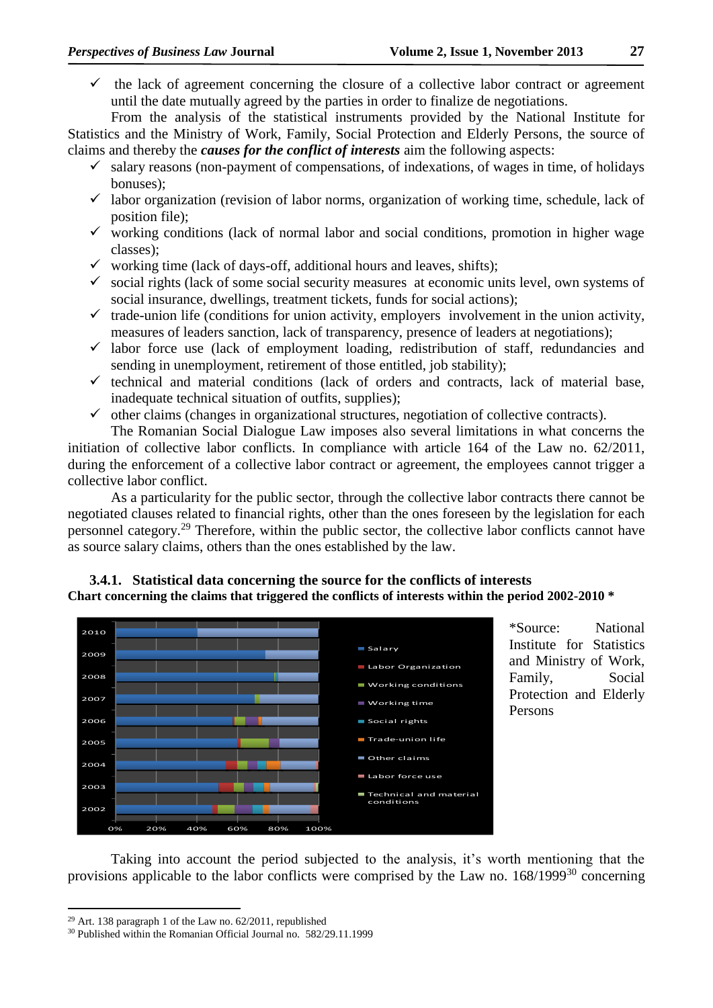$\checkmark$  the lack of agreement concerning the closure of a collective labor contract or agreement until the date mutually agreed by the parties in order to finalize de negotiations.

From the analysis of the statistical instruments provided by the National Institute for Statistics and the Ministry of Work, Family, Social Protection and Elderly Persons, the source of claims and thereby the *causes for the conflict of interests* aim the following aspects:

- $\checkmark$  salary reasons (non-payment of compensations, of indexations, of wages in time, of holidays bonuses);
- $\checkmark$  labor organization (revision of labor norms, organization of working time, schedule, lack of position file);
- $\checkmark$  working conditions (lack of normal labor and social conditions, promotion in higher wage classes);
- $\checkmark$  working time (lack of days-off, additional hours and leaves, shifts);
- $\checkmark$  social rights (lack of some social security measures at economic units level, own systems of social insurance, dwellings, treatment tickets, funds for social actions);
- $\checkmark$  trade-union life (conditions for union activity, employers involvement in the union activity, measures of leaders sanction, lack of transparency, presence of leaders at negotiations);
- $\checkmark$  labor force use (lack of employment loading, redistribution of staff, redundancies and sending in unemployment, retirement of those entitled, job stability);
- $\checkmark$  technical and material conditions (lack of orders and contracts, lack of material base, inadequate technical situation of outfits, supplies);
- $\checkmark$  other claims (changes in organizational structures, negotiation of collective contracts).

The Romanian Social Dialogue Law imposes also several limitations in what concerns the initiation of collective labor conflicts. In compliance with article 164 of the Law no. 62/2011, during the enforcement of a collective labor contract or agreement, the employees cannot trigger a collective labor conflict.

As a particularity for the public sector, through the collective labor contracts there cannot be negotiated clauses related to financial rights, other than the ones foreseen by the legislation for each personnel category.<sup>29</sup> Therefore, within the public sector, the collective labor conflicts cannot have as source salary claims, others than the ones established by the law.

## **3.4.1. Statistical data concerning the source for the conflicts of interests Chart concerning the claims that triggered the conflicts of interests within the period 2002-2010 \***



\*Source: National Institute for Statistics and Ministry of Work, Family, Social Protection and Elderly Persons

Taking into account the period subjected to the analysis, it's worth mentioning that the provisions applicable to the labor conflicts were comprised by the Law no.  $168/1999^{30}$  concerning

<sup>29</sup> Art. 138 paragraph 1 of the Law no. 62/2011, republished

<sup>30</sup> Published within the Romanian Official Journal no. 582/29.11.1999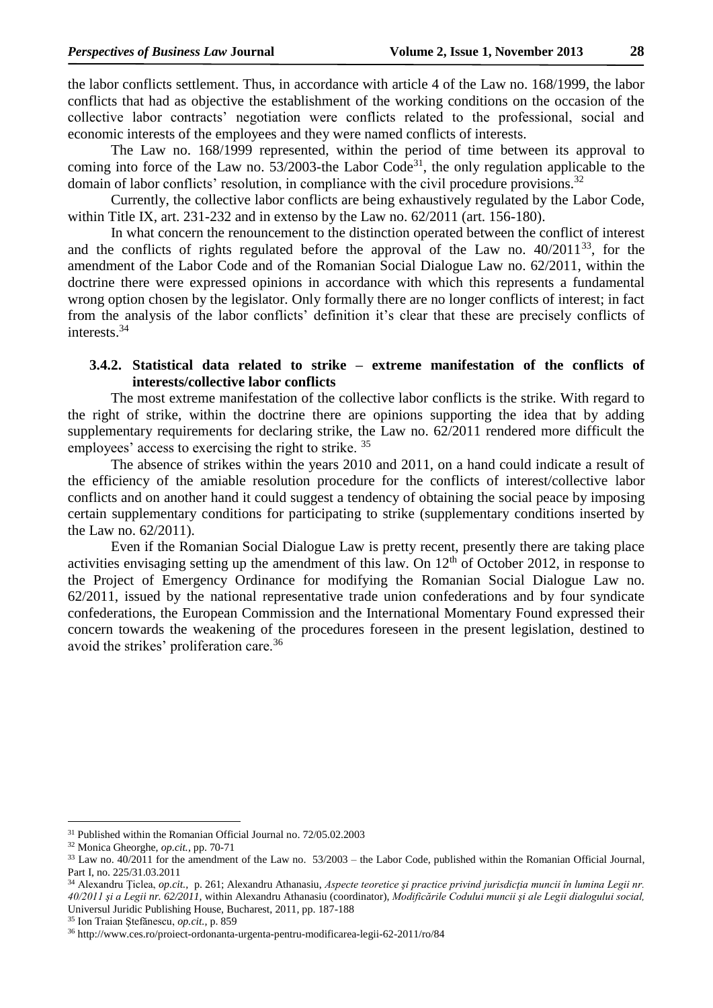the labor conflicts settlement. Thus, in accordance with article 4 of the Law no. 168/1999, the labor conflicts that had as objective the establishment of the working conditions on the occasion of the collective labor contracts' negotiation were conflicts related to the professional, social and economic interests of the employees and they were named conflicts of interests.

The Law no. 168/1999 represented, within the period of time between its approval to coming into force of the Law no.  $53/2003$ -the Labor Code<sup>31</sup>, the only regulation applicable to the domain of labor conflicts' resolution, in compliance with the civil procedure provisions.<sup>32</sup>

Currently, the collective labor conflicts are being exhaustively regulated by the Labor Code, within Title IX, art. 231-232 and in extenso by the Law no. 62/2011 (art. 156-180).

In what concern the renouncement to the distinction operated between the conflict of interest and the conflicts of rights regulated before the approval of the Law no.  $40/2011^{33}$ , for the amendment of the Labor Code and of the Romanian Social Dialogue Law no. 62/2011, within the doctrine there were expressed opinions in accordance with which this represents a fundamental wrong option chosen by the legislator. Only formally there are no longer conflicts of interest; in fact from the analysis of the labor conflicts' definition it's clear that these are precisely conflicts of interests.<sup>34</sup>

## **3.4.2. Statistical data related to strike – extreme manifestation of the conflicts of interests/collective labor conflicts**

The most extreme manifestation of the collective labor conflicts is the strike. With regard to the right of strike, within the doctrine there are opinions supporting the idea that by adding supplementary requirements for declaring strike, the Law no. 62/2011 rendered more difficult the employees' access to exercising the right to strike.<sup>35</sup>

The absence of strikes within the years 2010 and 2011, on a hand could indicate a result of the efficiency of the amiable resolution procedure for the conflicts of interest/collective labor conflicts and on another hand it could suggest a tendency of obtaining the social peace by imposing certain supplementary conditions for participating to strike (supplementary conditions inserted by the Law no. 62/2011).

Even if the Romanian Social Dialogue Law is pretty recent, presently there are taking place activities envisaging setting up the amendment of this law. On  $12<sup>th</sup>$  of October 2012, in response to the Project of Emergency Ordinance for modifying the Romanian Social Dialogue Law no. 62/2011, issued by the national representative trade union confederations and by four syndicate confederations, the European Commission and the International Momentary Found expressed their concern towards the weakening of the procedures foreseen in the present legislation, destined to avoid the strikes' proliferation care.<sup>36</sup>

<sup>&</sup>lt;sup>31</sup> Published within the Romanian Official Journal no. 72/05.02.2003

<sup>32</sup> Monica Gheorghe, *op.cit.,* pp. 70-71

<sup>33</sup> Law no. 40/2011 for the amendment of the Law no. 53/2003 – the Labor Code, published within the Romanian Official Journal, Part I, no. 225/31.03.2011

<sup>34</sup> Alexandru Ţiclea, *op.cit.,* p. 261; Alexandru Athanasiu, *Aspecte teoretice şi practice privind jurisdicţia muncii în lumina Legii nr. 40/2011 şi a Legii nr. 62/2011,* within Alexandru Athanasiu (coordinator), *Modificările Codului muncii şi ale Legii dialogului social,* Universul Juridic Publishing House, Bucharest, 2011, pp. 187-188

<sup>35</sup> Ion Traian Ştefănescu, *op.cit.,* p. 859

<sup>36</sup> http://www.ces.ro/proiect-ordonanta-urgenta-pentru-modificarea-legii-62-2011/ro/84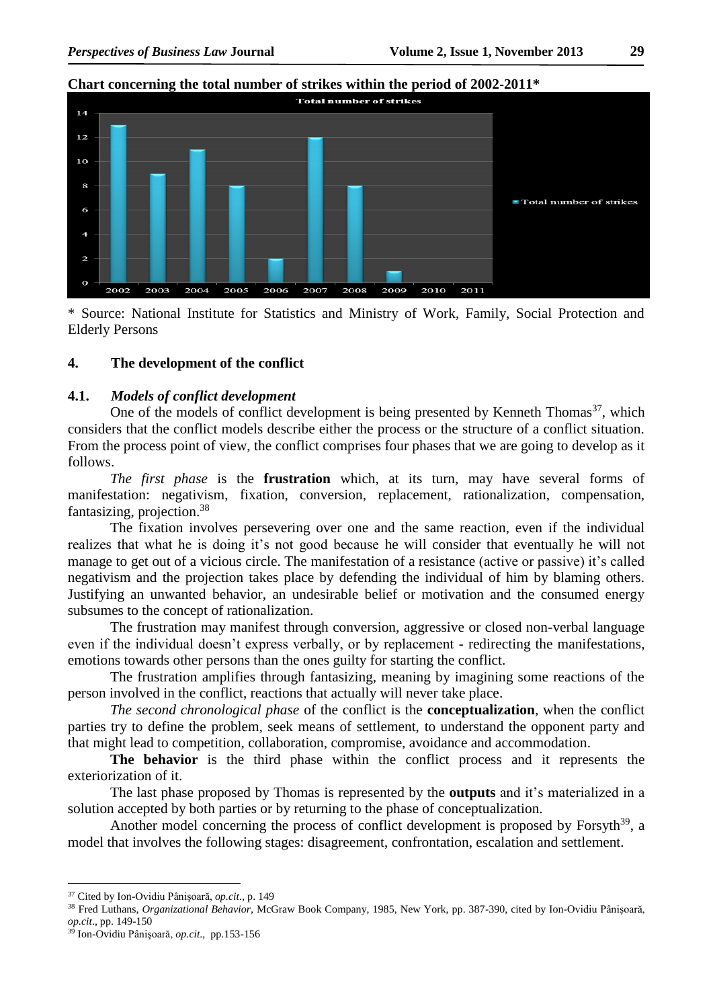# **Chart concerning the total number of strikes within the period of 2002-2011\***



\* Source: National Institute for Statistics and Ministry of Work, Family, Social Protection and Elderly Persons

## **4. The development of the conflict**

#### **4.1.** *Models of conflict development*

One of the models of conflict development is being presented by Kenneth Thomas<sup>37</sup>, which considers that the conflict models describe either the process or the structure of a conflict situation. From the process point of view, the conflict comprises four phases that we are going to develop as it follows.

*The first phase* is the **frustration** which, at its turn, may have several forms of manifestation: negativism, fixation, conversion, replacement, rationalization, compensation, fantasizing, projection.<sup>38</sup>

The fixation involves persevering over one and the same reaction, even if the individual realizes that what he is doing it's not good because he will consider that eventually he will not manage to get out of a vicious circle. The manifestation of a resistance (active or passive) it's called negativism and the projection takes place by defending the individual of him by blaming others. Justifying an unwanted behavior, an undesirable belief or motivation and the consumed energy subsumes to the concept of rationalization.

The frustration may manifest through conversion, aggressive or closed non-verbal language even if the individual doesn't express verbally, or by replacement - redirecting the manifestations, emotions towards other persons than the ones guilty for starting the conflict.

The frustration amplifies through fantasizing, meaning by imagining some reactions of the person involved in the conflict, reactions that actually will never take place.

*The second chronological phase* of the conflict is the **conceptualization**, when the conflict parties try to define the problem, seek means of settlement, to understand the opponent party and that might lead to competition, collaboration, compromise, avoidance and accommodation.

**The behavior** is the third phase within the conflict process and it represents the exteriorization of it.

The last phase proposed by Thomas is represented by the **outputs** and it's materialized in a solution accepted by both parties or by returning to the phase of conceptualization.

Another model concerning the process of conflict development is proposed by Forsyth<sup>39</sup>, a model that involves the following stages: disagreement, confrontation, escalation and settlement.

 $\overline{a}$ 

<sup>37</sup> Cited by Ion-Ovidiu Pânişoară, *op.cit*., p. 149

<sup>38</sup> Fred Luthans, *Organizational Behavior,* McGraw Book Company, 1985, New York, pp. 387-390, cited by Ion-Ovidiu Pânişoară, *op.cit*., pp. 149-150

<sup>39</sup> Ion-Ovidiu Pânişoară, *op.cit*., pp.153-156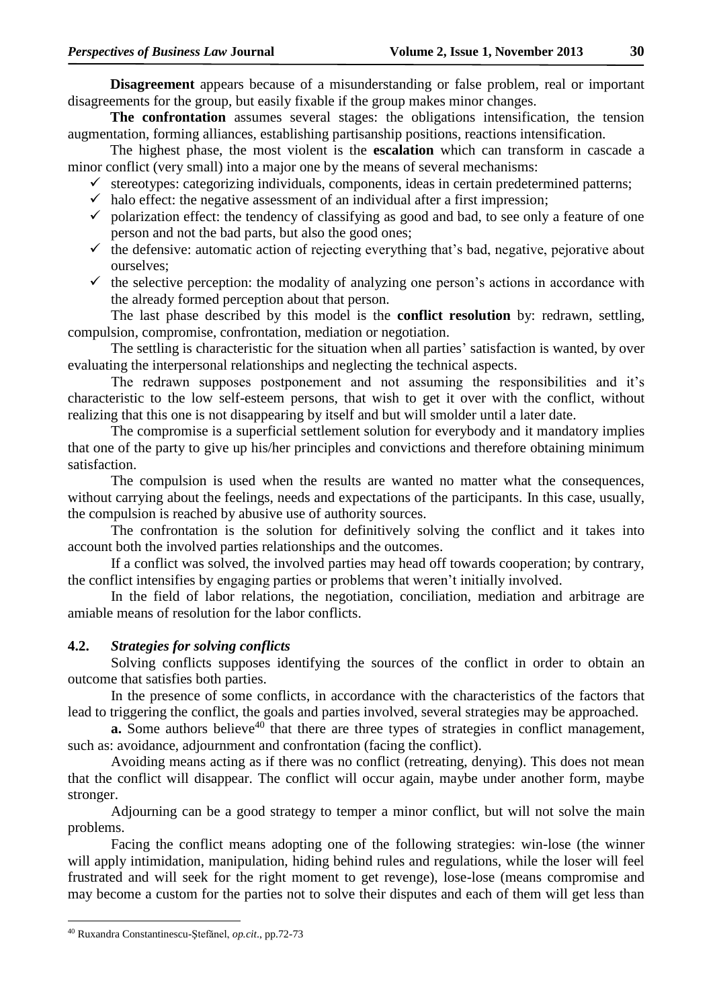**Disagreement** appears because of a misunderstanding or false problem, real or important disagreements for the group, but easily fixable if the group makes minor changes.

**The confrontation** assumes several stages: the obligations intensification, the tension augmentation, forming alliances, establishing partisanship positions, reactions intensification.

The highest phase, the most violent is the **escalation** which can transform in cascade a minor conflict (very small) into a major one by the means of several mechanisms:

- $\checkmark$  stereotypes: categorizing individuals, components, ideas in certain predetermined patterns;
- $\checkmark$  halo effect: the negative assessment of an individual after a first impression;
- $\checkmark$  polarization effect: the tendency of classifying as good and bad, to see only a feature of one person and not the bad parts, but also the good ones;
- $\checkmark$  the defensive: automatic action of rejecting everything that's bad, negative, pejorative about ourselves;
- $\checkmark$  the selective perception: the modality of analyzing one person's actions in accordance with the already formed perception about that person.

The last phase described by this model is the **conflict resolution** by: redrawn, settling, compulsion, compromise, confrontation, mediation or negotiation.

The settling is characteristic for the situation when all parties' satisfaction is wanted, by over evaluating the interpersonal relationships and neglecting the technical aspects.

The redrawn supposes postponement and not assuming the responsibilities and it's characteristic to the low self-esteem persons, that wish to get it over with the conflict, without realizing that this one is not disappearing by itself and but will smolder until a later date.

The compromise is a superficial settlement solution for everybody and it mandatory implies that one of the party to give up his/her principles and convictions and therefore obtaining minimum satisfaction.

The compulsion is used when the results are wanted no matter what the consequences, without carrying about the feelings, needs and expectations of the participants. In this case, usually, the compulsion is reached by abusive use of authority sources.

The confrontation is the solution for definitively solving the conflict and it takes into account both the involved parties relationships and the outcomes.

If a conflict was solved, the involved parties may head off towards cooperation; by contrary, the conflict intensifies by engaging parties or problems that weren't initially involved.

In the field of labor relations, the negotiation, conciliation, mediation and arbitrage are amiable means of resolution for the labor conflicts.

#### **4.2.** *Strategies for solving conflicts*

Solving conflicts supposes identifying the sources of the conflict in order to obtain an outcome that satisfies both parties.

In the presence of some conflicts, in accordance with the characteristics of the factors that lead to triggering the conflict, the goals and parties involved, several strategies may be approached.

**a.** Some authors believe<sup> $40$ </sup> that there are three types of strategies in conflict management, such as: avoidance, adjournment and confrontation (facing the conflict).

Avoiding means acting as if there was no conflict (retreating, denying). This does not mean that the conflict will disappear. The conflict will occur again, maybe under another form, maybe stronger.

Adjourning can be a good strategy to temper a minor conflict, but will not solve the main problems.

Facing the conflict means adopting one of the following strategies: win-lose (the winner will apply intimidation, manipulation, hiding behind rules and regulations, while the loser will feel frustrated and will seek for the right moment to get revenge), lose-lose (means compromise and may become a custom for the parties not to solve their disputes and each of them will get less than

1

<sup>40</sup> Ruxandra Constantinescu-Ştefănel, *op.cit*., pp.72-73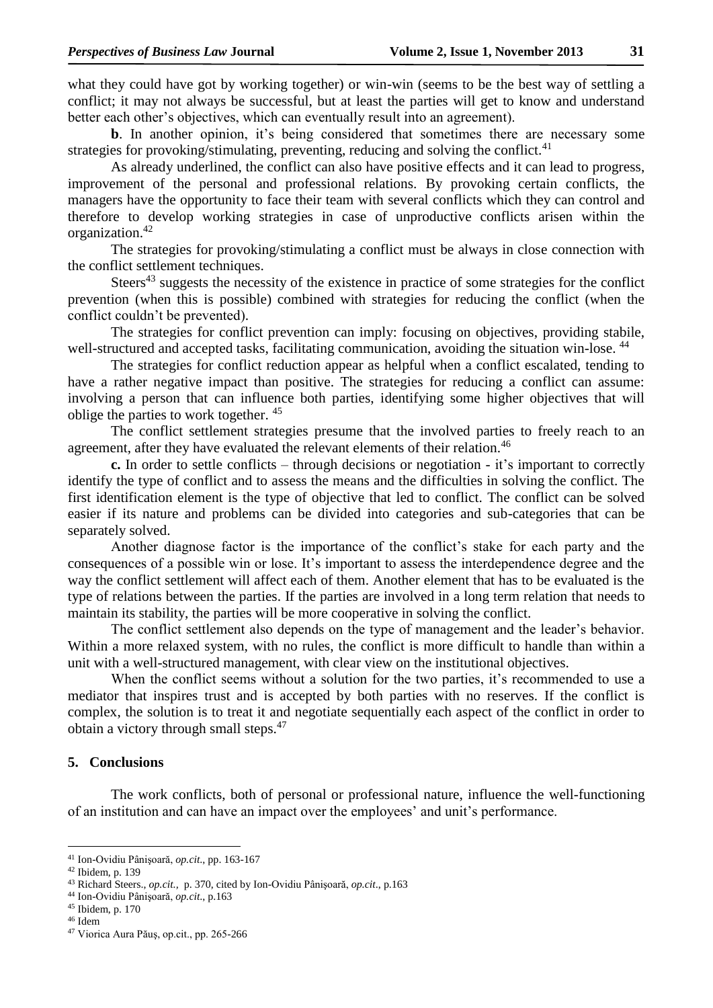what they could have got by working together) or win-win (seems to be the best way of settling a conflict; it may not always be successful, but at least the parties will get to know and understand better each other's objectives, which can eventually result into an agreement).

**b**. In another opinion, it's being considered that sometimes there are necessary some strategies for provoking/stimulating, preventing, reducing and solving the conflict. $41$ 

As already underlined, the conflict can also have positive effects and it can lead to progress, improvement of the personal and professional relations. By provoking certain conflicts, the managers have the opportunity to face their team with several conflicts which they can control and therefore to develop working strategies in case of unproductive conflicts arisen within the organization. 42

The strategies for provoking/stimulating a conflict must be always in close connection with the conflict settlement techniques.

Steers<sup>43</sup> suggests the necessity of the existence in practice of some strategies for the conflict prevention (when this is possible) combined with strategies for reducing the conflict (when the conflict couldn't be prevented).

The strategies for conflict prevention can imply: focusing on objectives, providing stabile, well-structured and accepted tasks, facilitating communication, avoiding the situation win-lose.<sup>44</sup>

The strategies for conflict reduction appear as helpful when a conflict escalated, tending to have a rather negative impact than positive. The strategies for reducing a conflict can assume: involving a person that can influence both parties, identifying some higher objectives that will oblige the parties to work together. <sup>45</sup>

The conflict settlement strategies presume that the involved parties to freely reach to an agreement, after they have evaluated the relevant elements of their relation.<sup>46</sup>

**c.** In order to settle conflicts – through decisions or negotiation - it's important to correctly identify the type of conflict and to assess the means and the difficulties in solving the conflict. The first identification element is the type of objective that led to conflict. The conflict can be solved easier if its nature and problems can be divided into categories and sub-categories that can be separately solved.

Another diagnose factor is the importance of the conflict's stake for each party and the consequences of a possible win or lose. It's important to assess the interdependence degree and the way the conflict settlement will affect each of them. Another element that has to be evaluated is the type of relations between the parties. If the parties are involved in a long term relation that needs to maintain its stability, the parties will be more cooperative in solving the conflict.

The conflict settlement also depends on the type of management and the leader's behavior. Within a more relaxed system, with no rules, the conflict is more difficult to handle than within a unit with a well-structured management, with clear view on the institutional objectives.

When the conflict seems without a solution for the two parties, it's recommended to use a mediator that inspires trust and is accepted by both parties with no reserves. If the conflict is complex, the solution is to treat it and negotiate sequentially each aspect of the conflict in order to obtain a victory through small steps.<sup>47</sup>

#### **5. Conclusions**

The work conflicts, both of personal or professional nature, influence the well-functioning of an institution and can have an impact over the employees' and unit's performance.

<sup>41</sup> Ion-Ovidiu Pânişoară, *op.cit*., pp. 163-167

<sup>42</sup> Ibidem, p. 139

<sup>43</sup> Richard Steers., *op.cit.,* p. 370, cited by Ion-Ovidiu Pânişoară, *op.cit*., p.163

<sup>44</sup> Ion-Ovidiu Pânişoară, *op.cit*., p.163

<sup>45</sup> Ibidem, p. 170

<sup>46</sup> Idem

<sup>47</sup> Viorica Aura Păuş, op.cit., pp. 265-266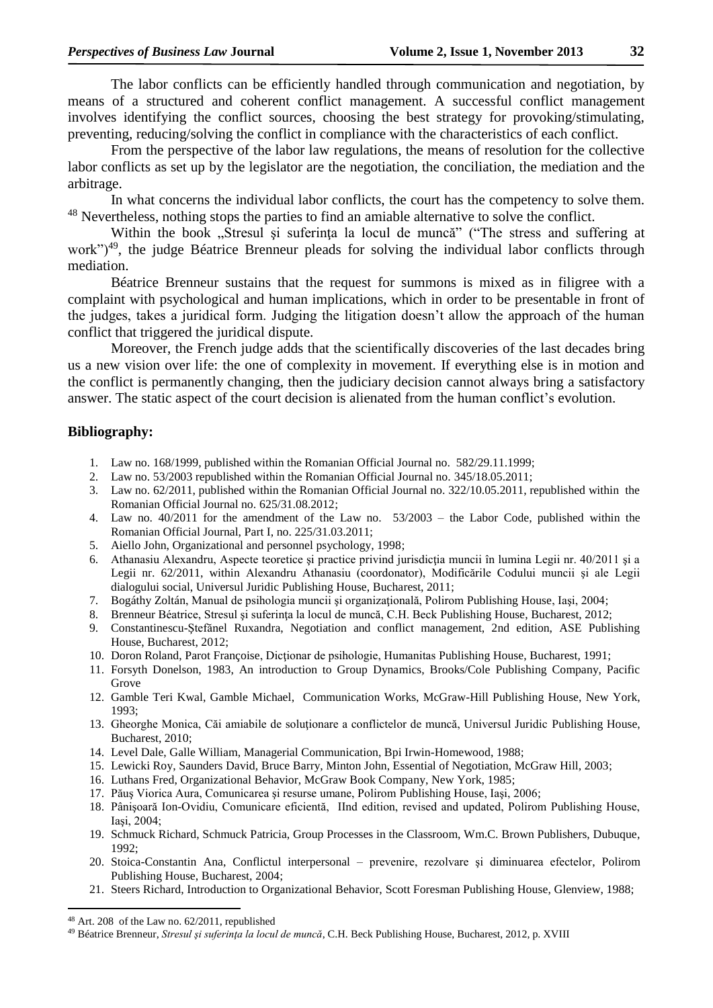The labor conflicts can be efficiently handled through communication and negotiation, by means of a structured and coherent conflict management. A successful conflict management involves identifying the conflict sources, choosing the best strategy for provoking/stimulating, preventing, reducing/solving the conflict in compliance with the characteristics of each conflict.

From the perspective of the labor law regulations, the means of resolution for the collective labor conflicts as set up by the legislator are the negotiation, the conciliation, the mediation and the arbitrage.

In what concerns the individual labor conflicts, the court has the competency to solve them. <sup>48</sup> Nevertheless, nothing stops the parties to find an amiable alternative to solve the conflict.

Within the book "Stresul și suferința la locul de muncă" ("The stress and suffering at work")<sup>49</sup>, the judge Béatrice Brenneur pleads for solving the individual labor conflicts through mediation.

Béatrice Brenneur sustains that the request for summons is mixed as in filigree with a complaint with psychological and human implications, which in order to be presentable in front of the judges, takes a juridical form. Judging the litigation doesn't allow the approach of the human conflict that triggered the juridical dispute.

Moreover, the French judge adds that the scientifically discoveries of the last decades bring us a new vision over life: the one of complexity in movement. If everything else is in motion and the conflict is permanently changing, then the judiciary decision cannot always bring a satisfactory answer. The static aspect of the court decision is alienated from the human conflict's evolution.

#### **Bibliography:**

- 1. Law no. 168/1999, published within the Romanian Official Journal no. 582/29.11.1999;
- 2. Law no. 53/2003 republished within the Romanian Official Journal no. 345/18.05.2011;
- 3. Law no. 62/2011, published within the Romanian Official Journal no. 322/10.05.2011, republished within the Romanian Official Journal no. 625/31.08.2012;
- 4. Law no. 40/2011 for the amendment of the Law no. 53/2003 the Labor Code, published within the Romanian Official Journal, Part I, no. 225/31.03.2011;
- 5. Aiello John, Organizational and personnel psychology, 1998;
- 6. Athanasiu Alexandru, Aspecte teoretice şi practice privind jurisdicţia muncii în lumina Legii nr. 40/2011 şi a Legii nr. 62/2011, within Alexandru Athanasiu (coordonator), Modificările Codului muncii şi ale Legii dialogului social, Universul Juridic Publishing House, Bucharest, 2011;
- 7. Bogáthy Zoltán, Manual de psihologia muncii şi organizaţională, Polirom Publishing House, Iaşi, 2004;
- 8. Brenneur Béatrice, Stresul și suferința la locul de muncă, C.H. Beck Publishing House, Bucharest, 2012;
- 9. Constantinescu-Ştefănel Ruxandra, Negotiation and conflict management, 2nd edition, ASE Publishing House, Bucharest, 2012;
- 10. Doron Roland, Parot Françoise, Dicţionar de psihologie, Humanitas Publishing House, Bucharest, 1991;
- 11. Forsyth Donelson, 1983, An introduction to Group Dynamics, Brooks/Cole Publishing Company, Pacific Grove
- 12. Gamble Teri Kwal, Gamble Michael, Communication Works, McGraw-Hill Publishing House, New York, 1993;
- 13. Gheorghe Monica, Căi amiabile de soluţionare a conflictelor de muncă, Universul Juridic Publishing House, Bucharest, 2010;
- 14. Level Dale, Galle William, Managerial Communication, Bpi Irwin-Homewood, 1988;
- 15. Lewicki Roy, Saunders David, Bruce Barry, Minton John, Essential of Negotiation, McGraw Hill, 2003;
- 16. Luthans Fred, Organizational Behavior, McGraw Book Company, New York, 1985;
- 17. Păuş Viorica Aura, Comunicarea şi resurse umane, Polirom Publishing House, Iaşi, 2006;
- 18. Pânişoară Ion-Ovidiu, Comunicare eficientă, IInd edition, revised and updated, Polirom Publishing House, Iaşi, 2004;
- 19. Schmuck Richard, Schmuck Patricia, Group Processes in the Classroom, Wm.C. Brown Publishers, Dubuque, 1992;
- 20. Stoica-Constantin Ana, Conflictul interpersonal prevenire, rezolvare şi diminuarea efectelor, Polirom Publishing House, Bucharest, 2004;
- 21. Steers Richard, Introduction to Organizational Behavior, Scott Foresman Publishing House, Glenview, 1988;

<sup>48</sup> Art. 208 of the Law no. 62/2011, republished

<sup>49</sup> Béatrice Brenneur, *Stresul şi suferinţa la locul de muncă*, C.H. Beck Publishing House, Bucharest, 2012, p. XVIII